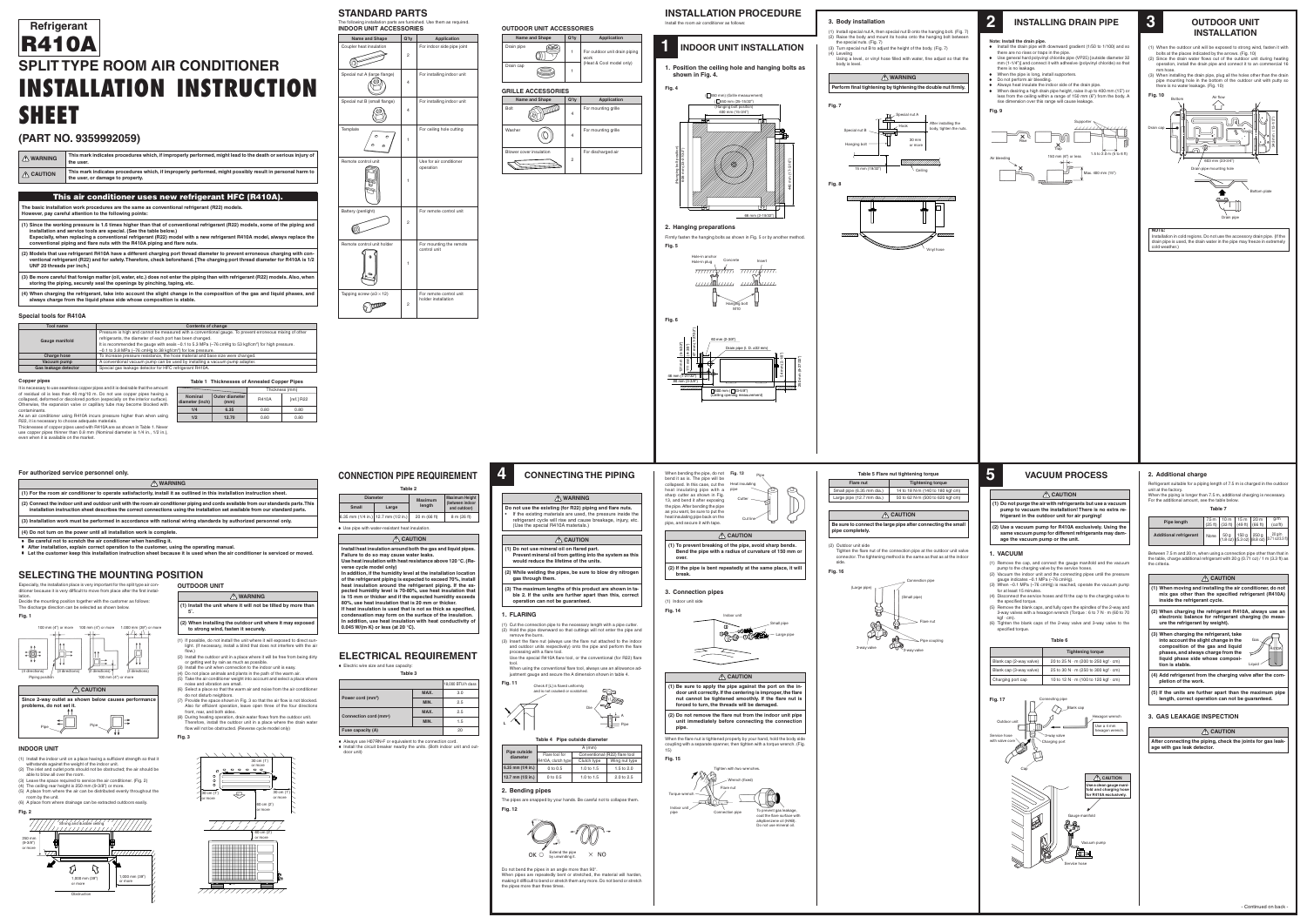## **OUTDOOR UNIT**





- (1) If possible, do not install the unit where it will exposed to direct sunlight. (If necessary, install a blind that does not interfere with the air flow.)
- (2) Install the outdoor unit in a place where it will be free from being dirty or getting wet by rain as much as possible.
- (3) Install the unit when connection to the indoor unit is easy. (4) Do not place animals and plants in the path of the warm air.
- (5) Take the air conditioner weight into account and select a place where noise and vibration are small. (6) Select a place so that the warm air and noise from the air conditioner
- do not disturb neighbors. (7) Provide the space shown in Fig. 3 so that the air flow is not blocked. Also for efficient operation, leave open three of the four directions
- front, rear, and both sides. (8) During heating operation, drain water flows from the outdoor unit. Therefore, install the outdoor unit in a place where the drain water flow will not be obstructed. (Reverse cycle model only)



## **INSTALLATION PROCEDURE**

Install the room air conditioner as follows:

# **(PART NO. 9359992059)**

|                     | -----------------                                                                                                                            |
|---------------------|----------------------------------------------------------------------------------------------------------------------------------------------|
| $\bigwedge$ CAUTION | This mark indicates procedures which, if improperly performed, might possibly result in personal harm to<br>the user, or damage to property. |
| $\bigwedge$ WARNING | This mark indicates procedures which, if improperly performed, might lead to the death or serious injury of<br>the user.                     |

## **This air conditioner uses new refrigerant HFC (R410A).**

**The basic installation work procedures are the same as conventional refrigerant (R22) models. However, pay careful attention to the following points:**

| However, pay careful attention to the following points:                                                                                                                                                                                                                                                                                                                                                     |
|-------------------------------------------------------------------------------------------------------------------------------------------------------------------------------------------------------------------------------------------------------------------------------------------------------------------------------------------------------------------------------------------------------------|
| (1) Since the working pressure is 1.6 times higher than that of conventional refrigerant (R22) models, some of the piping and<br>installation and service tools are special. (See the table below.)<br>Especially, when replacing a conventional refrigerant (R22) model with a new refrigerant R410A model, always replace the<br>conventional piping and flare nuts with the R410A piping and flare nuts. |
| (2) Models that use refrigerant R410A have a different charging port thread diameter to prevent erroneous charging with con-<br>ventional refrigerant (R22) and for safety. Therefore, check beforehand. [The charging port thread diameter for R410A is 1/2<br>UNF 20 threads per inch.]                                                                                                                   |

**(3) Be more careful that foreign matter (oil, water, etc.) does not enter the piping than with refrigerant (R22) models. Also, when storing the piping, securely seal the openings by pinching, taping, etc.**

## **1 INDOOR UNIT INSTALLATION 1. Position the ceiling hole and hanging bolts as**

**(4) When charging the refrigerant, take into account the slight change in the composition of the gas and liquid phases, and always charge from the liquid phase side whose composition is stable.**

# **SPLIT TYPE ROOM AIR CONDITIONER INSTALLATION INSTRUCTION SHEET Refrigerant R410A**

### **Special tools for R410A**

It is necessary to use seamless copper pipes and it is desirable that the amount of residual oil is less than 40 mg/10 m. Do not use copper pipes having a collapsed, deformed or discolored portion (especially on the interior surface). Otherwise, the expansion valve or capillary tube may become blocked with contaminants. As an air conditioner using R410A incurs pressure higher than when using

A CAUTION **Since 2-way outlet as shown below causes performance problems, do not set it.**

R22, it is necessary to choose adequate materials. Thicknesses of copper pipes used with R410A are as shown in Table 1. Never use copper pipes thinner than 0.8 mm (Nominal diameter is 1/4 in., 1/2 in.), even when it is available on the market.

#### **For authorized service personnel only.**

| $\bigwedge$ WARNING                                                                                                                                                                                                                                                    |
|------------------------------------------------------------------------------------------------------------------------------------------------------------------------------------------------------------------------------------------------------------------------|
| (1) For the room air conditioner to operate satisfactorily, install it as outlined in this installation instruction sheet.                                                                                                                                             |
| (2) Connect the indoor unit and outdoor unit with the room air conditioner piping and cords available from our standards parts. This<br>installation instruction sheet describes the correct connections using the installation set available from our standard parts. |
| (3) Installation work must be performed in accordance with national wiring standards by authorized personnel only.                                                                                                                                                     |

**(4) Do not turn on the power until all installation work is complete.**

• **Be careful not to scratch the air conditioner when handling it.**

- **After installation, explain correct operation to the customer, using the operating manual.**
- **Let the customer keep this installation instruction sheet because it is used when the air conditioner is serviced or moved.**

 $\Box$  600 mm ( $\Box$  23-5/8") (Ceiling opening measurement)

| <b>Tool name</b>      | <b>Contents of change</b>                                                                                            |
|-----------------------|----------------------------------------------------------------------------------------------------------------------|
|                       | Pressure is high and cannot be measured with a conventional gauge. To prevent erroneous mixing of other              |
|                       | refrigerants, the diameter of each port has been changed.                                                            |
| <b>Gauge manifold</b> | It is recommended the gauge with seals $-0.1$ to 5.3 MPa ( $-76$ cmHg to 53 kgf/cm <sup>2</sup> ) for high pressure. |
|                       | $-0.1$ to 3.8 MPa ( $-76$ cmHg to 38 kgf/cm <sup>2</sup> ) for low pressure.                                         |
| <b>Charge hose</b>    | To increase pressure resistance, the hose material and base size were changed.                                       |
| Vacuum pump           | A conventional vacuum pump can be used by installing a vacuum pump adapter.                                          |
| Gas leakage detector  | Special gas leakage detector for HFC refrigerant R410A.                                                              |
|                       |                                                                                                                      |

#### **Copper pipe**

**Table 1 Thicknesses of Annealed Copper Pipes**

**diameter (inch) 1/4 1/2**

**Nominal Outer diameter**

Thickness (mm) R410A [ref.] R22 0.80 0.80 0.80 0.80

**(mm) 6.35 12.70**



## **CONNECTION PIPE REQUIREMENT**

**shown in Fig. 4.**

#### **Fig. 4**

(2 directions)



100 mm (4") or more

## **SELECTING THE MOUNTING POSITION**



#### **INDOOR UNIT**

Piping position

#### A CAUTION **(1) Do not use mineral oil on flared part.**

- (1) Install the indoor unit on a place having a sufficient strength so that it withstands against the weight of the indoor unit. (2) The inlet and outlet ports should not be obstructed; the air should be
- able to blow all over the room. (3) Leave the space required to service the air conditioner. (Fig. 2)
- (4) The ceiling rear height is 250 mm (9-3/8") or more. (5) A place from where the air can be distributed evenly throughout the room by the unit.
- (6) A place from where drainage can be extracted outdoors easily.

Especially, the installation place is very important for the split type air conditioner because it is very difficult to move from place after the first installation.

#### **Table 4 Pipe outside diameter Pipe outside diameter 6.35 mm (1/4 in.)** 1.0 to 1.5 1.5 to 2.0 0 to 0.5 A (mm) Flare tool for | Conventional (R22) flare tool R410A, clutch type | Wing nut type



Decide the mounting position together with the customer as follows: The discharge direction can be selected as shown below.

#### **Fig. 1**

| <b>Diameter</b> |                                      | <b>Maximum</b> | <b>Maximum Height</b><br>(between indoor |  |
|-----------------|--------------------------------------|----------------|------------------------------------------|--|
| <b>Small</b>    | Large                                | length         | and outdoor)                             |  |
|                 | .35 mm (1/4 in.)   12.7 mm (1/2 in.) | 20 m (66 ft)   | 8 m (26 ft)                              |  |

#### **CAUTION**

**Install heat insulation around both the gas and liquid pipes. Failure to do so may cause water leaks. Use heat insulation with heat resistance above 120 °C. (Reverse cycle model only) In addition, if the humidity level at the installation location of the refrigerant piping is expected to exceed 70%, install heat insulation around the refrigerant piping. If the expected humidity level is 70-80%, use heat insulation that is 15 mm or thicker and if the expected humidity exceeds 80%, use heat insulation that is 20 mm or thicker. If heat insulation is used that is not as thick as specified,**

**condensation may form on the surface of the insulation. In addition, use heat insulation with heat conductivity of 0.045 W/(m·K) or less (at 20 °C).**

#### **ELECTRICAL REQUIREMENT** • Electric wire size and fuse capacity:

- (1) Remove the cap, and connect the gauge manifold and the vacuum
- pump to the charging valve by the service hoses. (2) Vacuum the indoor unit and the connecting pipes until the pressure gauge indicates –0.1 MPa (–76 cmHg).
- (3) When –0.1 MPa (–76 cmHg) is reached, operate the vacuum pump for at least 15 minutes.
- (4) Disconnect the service hoses and fit the cap to the charging valve to the specified torque.
- (5) Remove the blank caps, and fully open the spindles of the 2-way and  $\sim$  3-way valves with a hexagon wrench (Torque : 6 to 7 N  $\cdot$  m (60 to 70
- kgf · cm). (6) Tighten the blank caps of the 2-way valve and 3-way valve to the specified torque.

**Table 3**

|                                    |      | 18,000 BTU/h class |
|------------------------------------|------|--------------------|
| Power cord (mm <sup>2</sup> )      | MAX. | 3.0                |
|                                    | MIN. | 2.5                |
|                                    | MAX. | 2.5                |
| Connection cord (mm <sup>2</sup> ) | MIN. | 1.5                |
| Fuse capacity (A)                  |      | 20                 |

## **STANDARD PARTS**

The following installation parts are furnished. Use them as required. **INDOOR UNIT ACCESSORIES**



| <b>GRILLE ACCESSORIES</b> |                         |         |                     |  |
|---------------------------|-------------------------|---------|---------------------|--|
|                           | <b>Name and Shape</b>   | $Q'$ ty | <b>Application</b>  |  |
| <b>Bolt</b>               |                         | 4       | For mounting grille |  |
| Washer                    |                         | 4       | For mounting grille |  |
|                           | Blower cover insulation | 2       | For discharged air  |  |



#### **2. Hanging preparations**

| CAUTION                                                                                                                                                                                                                                             |  |  |
|-----------------------------------------------------------------------------------------------------------------------------------------------------------------------------------------------------------------------------------------------------|--|--|
| (1) When moving and installing the air conditioner, do not<br>mix gas other than the specified refrigerant (R410A)<br>inside the refrigerant cycle.                                                                                                 |  |  |
| (2) When charging the refrigerant R410A, always use an<br>electronic balance for refrigerant charging (to meas-<br>ure the refrigerant by weight).                                                                                                  |  |  |
| (3) When charging the refrigerant, take<br>Gas<br>into account the slight change in the<br>composition of the gas and liquid<br><b>R410A</b><br>phases, and always charge from the<br>liquid phase side whose composi-<br>tion is stable.<br>Liquid |  |  |
| (4) Add refrigerant from the charging valve after the com-<br>pletion of the work.                                                                                                                                                                  |  |  |
| (5) If the units are further apart than the maximum pipe                                                                                                                                                                                            |  |  |

Firmly fasten the hanging bolts as shown in Fig. 5 or by another method. **Fig. 5**



131 mm

(4-3/8")

111 mm

Drain pipe (I. D. ø32 mm)

46 mm (1-27/32") 86 mm (3-3/8") 250 mm (9-27/32")

 $\circledcirc$ 

54 mm (2-1/8")



- (1) Install special nut A, then special nut B onto the hanging bolt. (Fig. 7) (2) Raise the body and mount its hooks onto the hanging bolt between
- the special nuts. (Fig. 7) (3) Turn special nut B to adjust the height of the body. (Fig. 7)
- (4) Leveling Using a level, or vinyl hose filled with water, fine adjust so that the body is level.

#### **WARNING**







## **2 INSTALLING DRAIN PIPE**

#### **Note: Install the drain pipe.**

- Install the drain pipe with downward gradient (1/50 to 1/100) and so there are no rises or traps in the pipe. • Use general hard polyvinyl chloride pipe (VP25) [outside diameter 32
- mm (1-1/4")] and connect it with adhesive (polyvinyl chloride) so that there is no leakage. • When the pipe is long, install supporters.
- Do not perform air bleeding.
- Always heat insulate the indoor side of the drain pipe.
- When desiring a high drain pipe height, raise it up to 400 mm (15") or less from the ceiling within a range of 150 mm (6") from the body. A rise dimension over this range will cause leakage.

#### **Fig. 9**



## **3 OUTDOOR UNIT INSTALLATION**

- (1) When the outdoor unit will be exposed to strong wind, fasten it with bolts at the places indicated by the arrows. (Fig. 10) (2) Since the drain water flows out of the outdoor unit during heating operation, install the drain pipe and connect it to an commercial 16
- mm hose. (3) When installing the drain pipe, plug all the holes other than the drain pipe mounting hole in the bottom of the outdoor unit with putty so there is no water leakage. (Fig. 10)

**NOTE:**

Installation in cold regions. Do not use the accessory drain pipe. (If the drain pipe is used, the drain water in the pipe may freeze in extremely cold weather.)



#### **OUTDOOR UNIT ACCESSORIES**



## **4 CONNECTING THE PIPING**

## **WARNING**

**Do not use the existing (for R22) piping and flare nuts.** If the existing materials are used, the pressure inside the refrigerant cycle will rise and cause breakage, injury, etc. (Use the special R410A materials.)

- **Prevent mineral oil from getting into the system as this would reduce the lifetime of the units. (2) While welding the pipes, be sure to blow dry nitrogen**
- **gas through them.**
- **(3) The maximum lengths of this product are shown in table 2. If the units are further apart than this, correct operation can not be guaranteed.**
- **1. FLARING**
- (1) Cut the connection pipe to the necessary length with a pipe cutter. (2) Hold the pipe downward so that cuttings will not enter the pipe and remove the burrs. (3) Insert the flare nut (always use the flare nut attached to the indoor
- and outdoor units respectively) onto the pipe and perform the flare processing with a flare tool. Use the special R410A flare tool, or the conventional (for R22) flare
- tool. When using the conventional flare tool, always use an allowance adjustment gauge and secure the A dimension shown in table 4.

| 6.35 mm (1/4 in.)  12.7 mm (1/2 in.)    20 m (66 ft) | 8 m (26 ft) |
|------------------------------------------------------|-------------|
| Use pipe with water-resistant heat insulation.       |             |

A Pipe

## **Fig. 11** Check if [L] is flared uniformly



When bending the pipe, do not **Fig. 13** bend it as is. The pipe will be





**(2) If the pipe is bent repeatedly at the same place, it will break.**

| 2. Bending pipes     |          |              |            |
|----------------------|----------|--------------|------------|
| 12.7 mm $(1/2$ in.)  | 0 to 0.5 | 1.0 to $1.5$ | 2.0 to 2.5 |
| 0.33 MIIII (1/4 MI.) | 0.U U U  | 1.U 10 1.J   |            |



Pipe

 $\overline{\phantom{a}}$ 

**3. Connection pipes**

(1) Indoor unit side

**Fig. 14**

 **CAUTION (1) Be sure to apply the pipe against the port on the indoor unit correctly. If the centering is improper, the flare nut cannot be tightened smoothly. If the flare nut is forced to turn, the threads will be damaged.**

**(2) Do not remove the flare nut from the indoor unit pipe unit immediately before connecting the connection pipe.**

When the flare nut is tightened properly by your hand, hold the body side coupling with a separate spanner, then tighten with a torque wrench. (Fig. 15)

The pipes are snapped by your hands. Be careful not to collapse them. **Fig. 12**

Do not bend the pipes in an angle more than 90°. When pipes are repeatedly bent or stretched, the material will harden, making it difficult to bend or stretch them any more. Do not bend or stretch the pipes more than three times.







# **CAUTION**

**Be sure to connect the large pipe after connecting the small pipe completely.**

(2) Outdoor unit side

Tighten the flare nut of the connection pipe at the outdoor unit valve connector. The tightening method is the same as that as at the indoor side.

**Fig. 16**

### **VACUUM PROCESS**

#### **CAUTION**

- **(1) Do not purge the air with refrigerants but use a vacuum pump to vacuum the installation! There is no extra refrigerant in the outdoor unit for air purging!**
- **(2) Use a vacuum pump for R410A exclusively. Using the same vacuum pump for different refrigerants may damage the vacuum pump or the unit.**

#### **1. VACUUM**

#### **Table 6**





|                         | <b>Tightening torque</b>                         |
|-------------------------|--------------------------------------------------|
| Blank cap (2-way valve) | 20 to 25 N $\cdot$ m (200 to 250 kgf $\cdot$ cm) |
| Blank cap (3-way valve) | 25 to 30 N $\cdot$ m (250 to 300 kgf $\cdot$ cm) |
| Charging port cap       | 10 to 12 N $\cdot$ m (100 to 120 kgf $\cdot$ cm) |

# **5**

#### **2. Additional charge**



Refrigerant suitable for a piping length of 7.5 m is charged in the outdoor unit at the factory. When the piping is longer than 7.5 m, additional charging is necessary. For the additional amount, see the table below.

| I.                 |  |
|--------------------|--|
| ۰.<br>×<br>×<br>۰, |  |

Between 7.5 m and 20 m, when using a connection pipe other than that in the table, charge additional refrigerant with 20 g (0.71 oz) / 1 m (3.3 ft) as the criteria.

| Pipe length                   | $7.5 m$ | 10 m $\vert$ | $15 m$   20 m       |         | q/m                                                                                                                            |
|-------------------------------|---------|--------------|---------------------|---------|--------------------------------------------------------------------------------------------------------------------------------|
|                               | (25 ft) |              | $(33 ft)$ $(49 ft)$ | (66 ft) | (oz/ft)                                                                                                                        |
| <b>Additional refrigerant</b> |         |              |                     |         | None $\begin{vmatrix} 50 g \\ (1.8 oz) \end{vmatrix}$ (50 g $\begin{vmatrix} 250 g \\ (8.8 oz) \end{vmatrix}$ (0.71 oz/3.3 ft) |

**length, correct operation can not be guaranteed.**

**3. GAS LEAKAGE INSPECTION**

#### **A** CAUTION

**After connecting the piping, check the joints for gas leakage with gas leak detector.**

**Flare nut**

• Always use H07RN-F or equivalent to the connection cord. • Install the circuit breaker nearby the units. (Both indoor unit and outdoor unit)